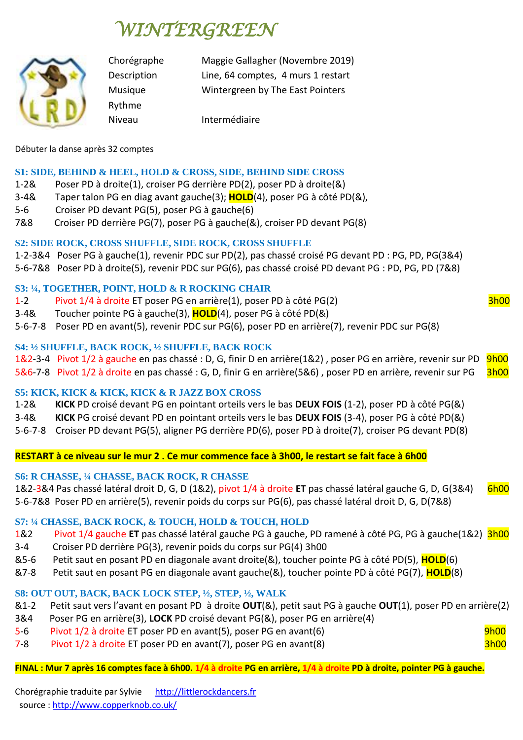# *WINTERGREEN*



Rythme

Chorégraphe Maggie Gallagher (Novembre 2019) Description Line, 64 comptes, 4 murs 1 restart Musique Wintergreen by The East Pointers

Niveau **Intermédiaire** 

## Débuter la danse après 32 comptes

## **S1: SIDE, BEHIND & HEEL, HOLD & CROSS, SIDE, BEHIND SIDE CROSS**

- 1-2& Poser PD à droite(1), croiser PG derrière PD(2), poser PD à droite(&)
- 3-4& Taper talon PG en diag avant gauche(3); **HOLD**(4), poser PG à côté PD(&),
- 5-6 Croiser PD devant PG(5), poser PG à gauche(6)
- 7&8 Croiser PD derrière PG(7), poser PG à gauche(&), croiser PD devant PG(8)

# **S2: SIDE ROCK, CROSS SHUFFLE, SIDE ROCK, CROSS SHUFFLE**

- 1-2-3&4 Poser PG à gauche(1), revenir PDC sur PD(2), pas chassé croisé PG devant PD : PG, PD, PG(3&4)
- 5-6-7&8 Poser PD à droite(5), revenir PDC sur PG(6), pas chassé croisé PD devant PG : PD, PG, PD (7&8)

# **S3: ¼, TOGETHER, POINT, HOLD & R ROCKING CHAIR**

- 1-2 Pivot 1/4 à droite ET poser PG en arrière(1), poser PD à côté PG(2) 3h00
- 3-4& Toucher pointe PG à gauche(3), **HOLD**(4), poser PG à côté PD(&)
- 5-6-7-8 Poser PD en avant(5), revenir PDC sur PG(6), poser PD en arrière(7), revenir PDC sur PG(8)

# **S4: ½ SHUFFLE, BACK ROCK, ½ SHUFFLE, BACK ROCK**

1&2-3-4 Pivot 1/2 à gauche en pas chassé : D, G, finir D en arrière(1&2), poser PG en arrière, revenir sur PD 9h00 5&6-7-8 Pivot 1/2 à droite en pas chassé : G, D, finir G en arrière(5&6), poser PD en arrière, revenir sur PG 3h00

**S5: KICK, KICK & KICK, KICK & R JAZZ BOX CROSS**

1-2& **KICK** PD croisé devant PG en pointant orteils vers le bas **DEUX FOIS** (1-2), poser PD à côté PG(&)

3-4& **KICK** PG croisé devant PD en pointant orteils vers le bas **DEUX FOIS** (3-4), poser PG à côté PD(&)

5-6-7-8 Croiser PD devant PG(5), aligner PG derrière PD(6), poser PD à droite(7), croiser PG devant PD(8)

**RESTART à ce niveau sur le mur 2 . Ce mur commence face à 3h00, le restart se fait face à 6h00**

# **S6: R CHASSE, ¼ CHASSE, BACK ROCK, R CHASSE**

1&2-3&4 Pas chassé latéral droit D, G, D (1&2), pivot 1/4 à droite **ET** pas chassé latéral gauche G, D, G(3&4) 6h00 5-6-7&8 Poser PD en arrière(5), revenir poids du corps sur PG(6), pas chassé latéral droit D, G, D(7&8)

# **S7: ¼ CHASSE, BACK ROCK, & TOUCH, HOLD & TOUCH, HOLD**

1&2 Pivot 1/4 gauche **ET** pas chassé latéral gauche PG à gauche, PD ramené à côté PG, PG à gauche(1&2) 3h00

- 3-4 Croiser PD derrière PG(3), revenir poids du corps sur PG(4) 3h00
- &5-6 Petit saut en posant PD en diagonale avant droite(&), toucher pointe PG à côté PD(5), **HOLD**(6)
- &7-8 Petit saut en posant PG en diagonale avant gauche(&), toucher pointe PD à côté PG(7), **HOLD**(8)

# **S8: OUT OUT, BACK, BACK LOCK STEP, ½, STEP, ½, WALK**

- &1-2 Petit saut vers l'avant en posant PD à droite **OUT**(&), petit saut PG à gauche **OUT**(1), poser PD en arrière(2)
- 3&4 Poser PG en arrière(3), **LOCK** PD croisé devant PG(&), poser PG en arrière(4)
- 5-6 Pivot 1/2 à droite ET poser PD en avant(5), poser PG en avant(6) en avant en la poser poser provincial de
- 7-8 Pivot 1/2 à droite ET poser PD en avant(7), poser PG en avant(8) 3h00

## **FINAL : Mur 7 après 16 comptes face à 6h00. 1/4 à droite PG en arrière, 1/4 à droite PD à droite, pointer PG à gauche.**

Chorégraphie traduite par Sylvie [http://littlerockdancers.fr](http://littlerockdancers.fr/)  source [: http://www.copperknob.co.uk/](https://www.copperknob.co.uk/)